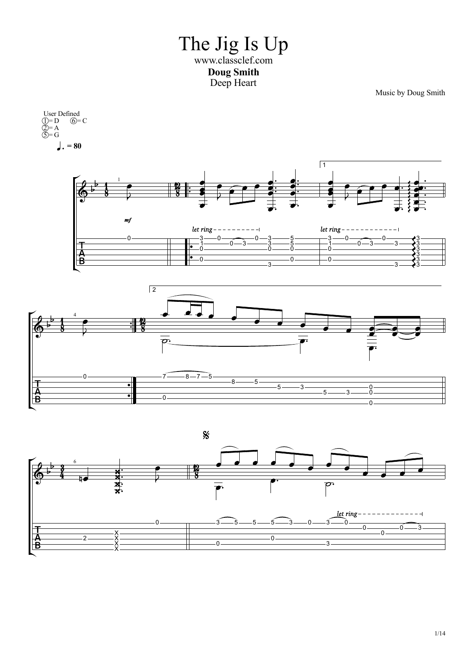The Jig Is Up www.classclef.com **Doug Smith** Deep Heart

Music by Doug Smith



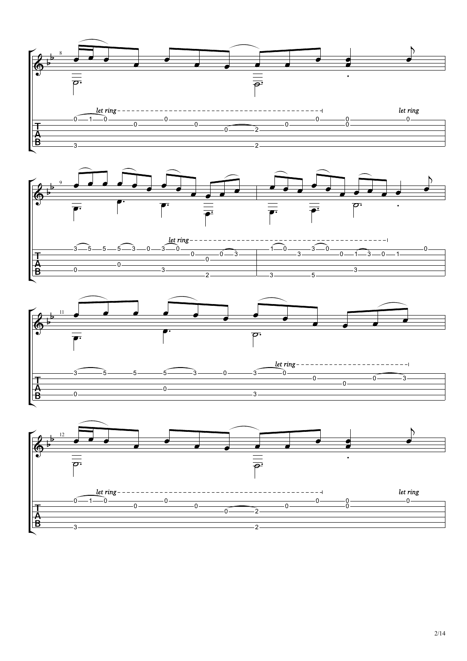





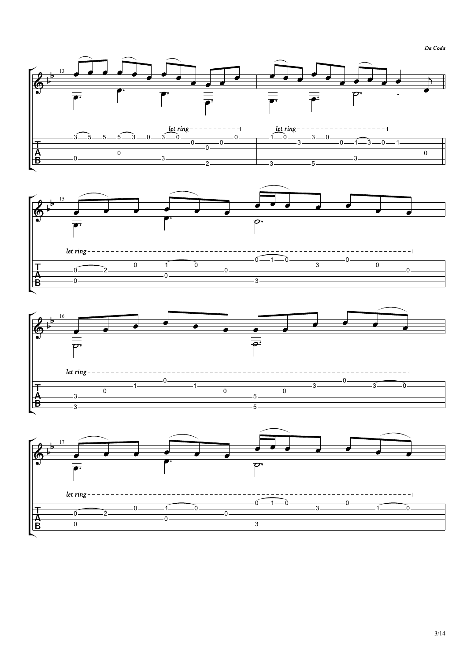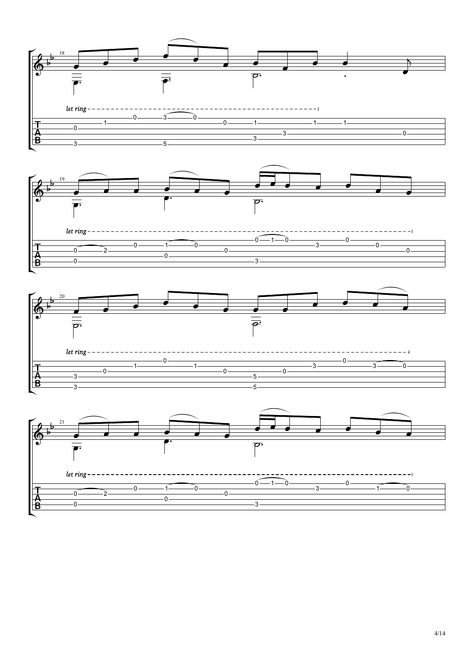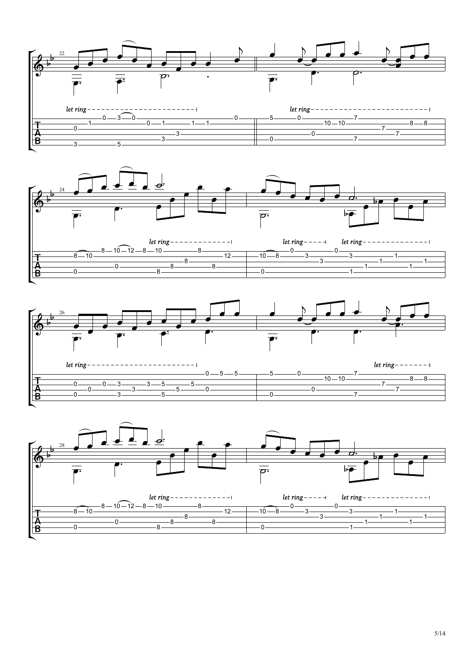





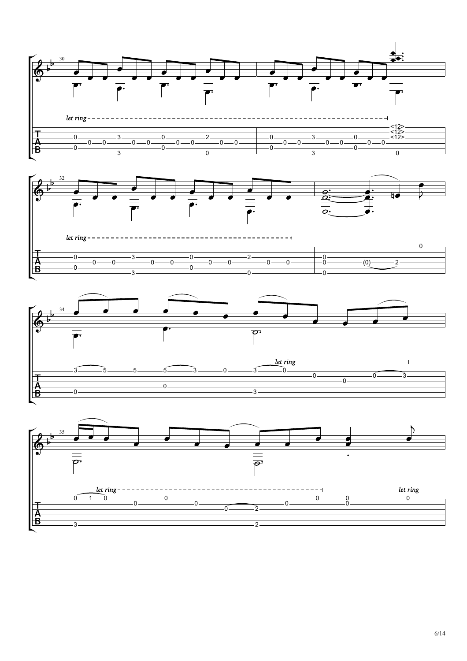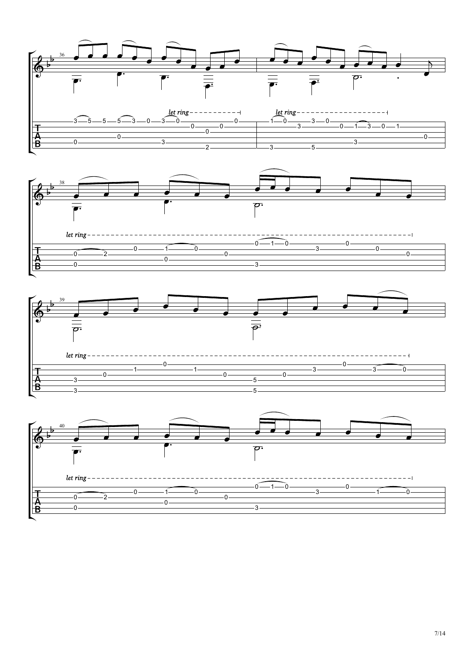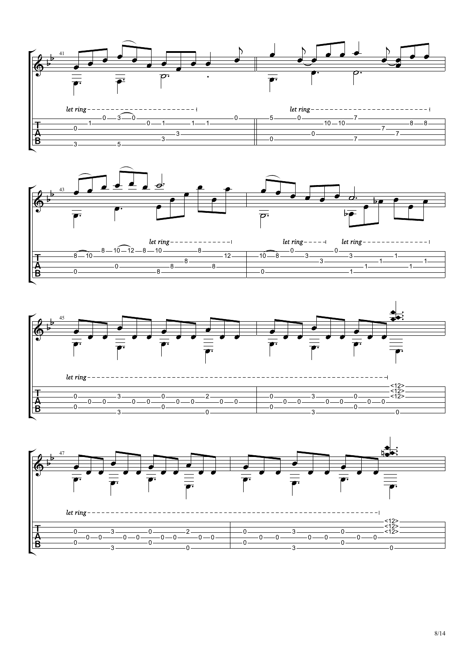







8/14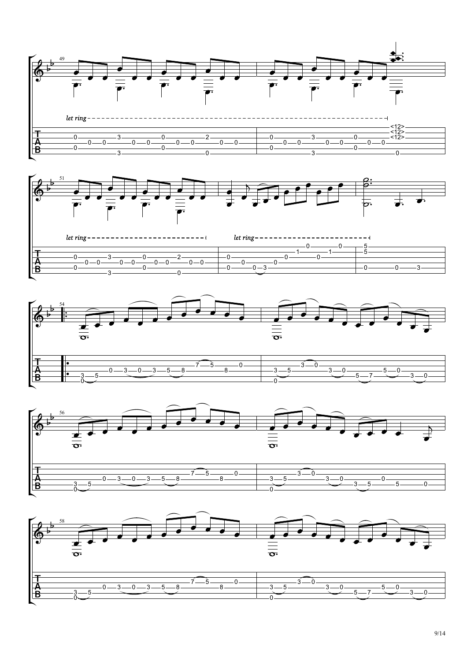







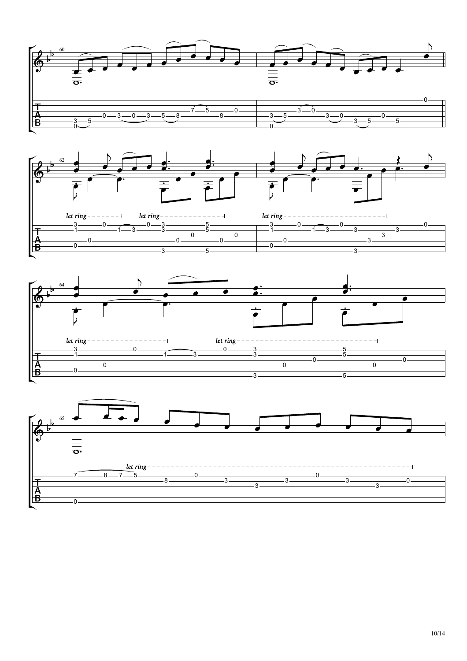





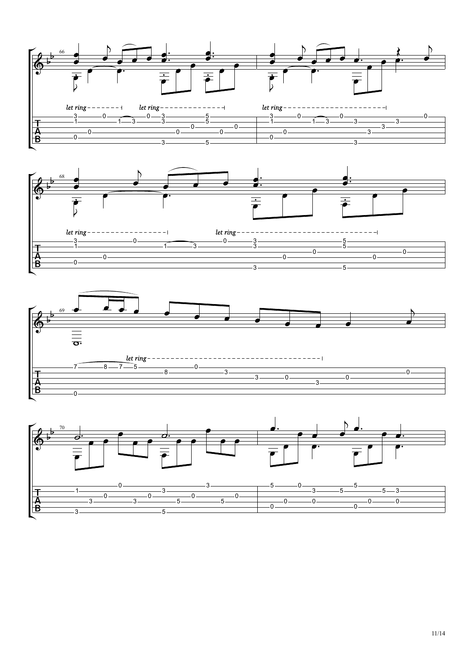





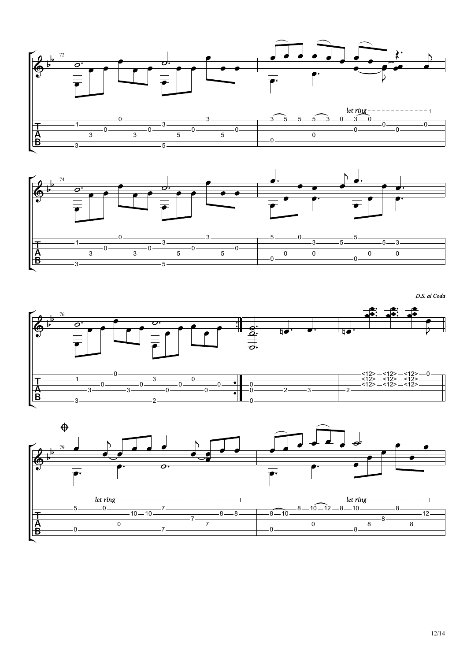



D.S. al Coda



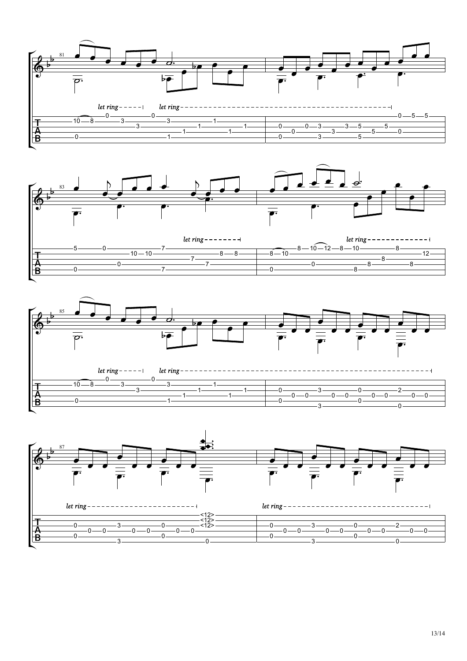